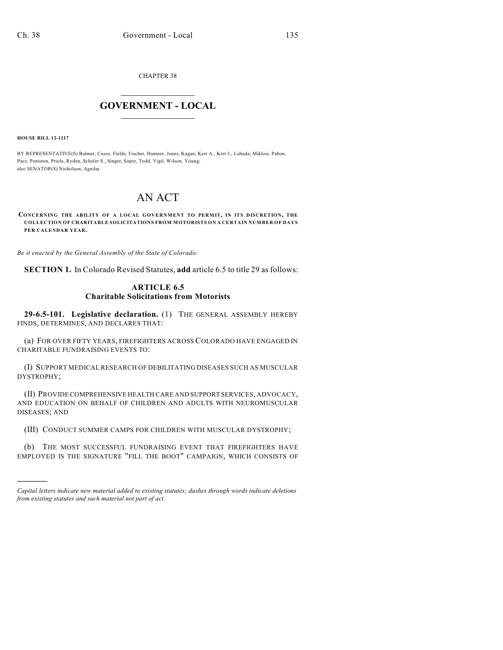CHAPTER 38

## $\overline{\phantom{a}}$  . The set of the set of the set of the set of the set of the set of the set of the set of the set of the set of the set of the set of the set of the set of the set of the set of the set of the set of the set o **GOVERNMENT - LOCAL**  $\_$

**HOUSE BILL 12-1117**

)))))

BY REPRESENTATIVE(S) Balmer, Casso, Fields, Fischer, Hamner, Jones, Kagan, Kerr A., Kerr J., Labuda, Miklosi, Pabon, Pace, Peniston, Priola, Ryden, Schafer S., Singer, Soper, Todd, Vigil, Wilson, Young; also SENATOR(S) Nicholson, Aguilar.

## AN ACT

**CONCERNING THE ABILITY OF A LOCAL GOVERNMENT TO PERMIT, IN ITS DISCRETION, THE COLLECTION OF CHARITABLE SOLICITATIONS FROM MOTORISTS ON A CERTAIN NUMBER OF DAYS PER CALENDAR YEAR.**

*Be it enacted by the General Assembly of the State of Colorado:*

**SECTION 1.** In Colorado Revised Statutes, **add** article 6.5 to title 29 as follows:

## **ARTICLE 6.5 Charitable Solicitations from Motorists**

**29-6.5-101. Legislative declaration.** (1) THE GENERAL ASSEMBLY HEREBY FINDS, DETERMINES, AND DECLARES THAT:

(a) FOR OVER FIFTY YEARS, FIREFIGHTERS ACROSS COLORADO HAVE ENGAGED IN CHARITABLE FUNDRAISING EVENTS TO:

(I) SUPPORT MEDICAL RESEARCH OF DEBILITATING DISEASES SUCH AS MUSCULAR DYSTROPHY;

(II) PROVIDE COMPREHENSIVE HEALTH CARE AND SUPPORT SERVICES, ADVOCACY, AND EDUCATION ON BEHALF OF CHILDREN AND ADULTS WITH NEUROMUSCULAR DISEASES; AND

(III) CONDUCT SUMMER CAMPS FOR CHILDREN WITH MUSCULAR DYSTROPHY;

(b) THE MOST SUCCESSFUL FUNDRAISING EVENT THAT FIREFIGHTERS HAVE EMPLOYED IS THE SIGNATURE "FILL THE BOOT" CAMPAIGN, WHICH CONSISTS OF

*Capital letters indicate new material added to existing statutes; dashes through words indicate deletions from existing statutes and such material not part of act.*